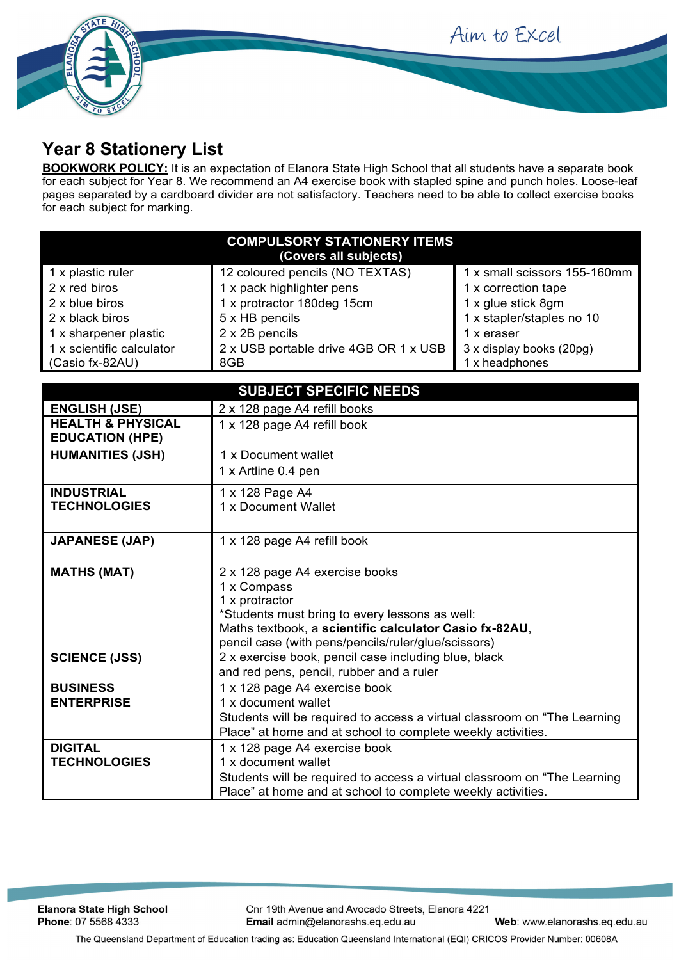Aim to Excel



## **Year 8 Stationery List**

**BOOKWORK POLICY:** It is an expectation of Elanora State High School that all students have a separate book for each subject for Year 8. We recommend an A4 exercise book with stapled spine and punch holes. Loose-leaf pages separated by a cardboard divider are not satisfactory. Teachers need to be able to collect exercise books for each subject for marking.

| <b>COMPULSORY STATIONERY ITEMS</b><br>(Covers all subjects) |                                       |                              |  |
|-------------------------------------------------------------|---------------------------------------|------------------------------|--|
| 1 x plastic ruler                                           | 12 coloured pencils (NO TEXTAS)       | 1 x small scissors 155-160mm |  |
| 2 x red biros                                               | 1 x pack highlighter pens             | 1 x correction tape          |  |
| 2 x blue biros                                              | 1 x protractor 180deg 15cm            | 1 x glue stick 8gm           |  |
| 2 x black biros                                             | 5 x HB pencils                        | 1 x stapler/staples no 10    |  |
| 1 x sharpener plastic                                       | 2 x 2B pencils                        | 1 x eraser                   |  |
| 1 x scientific calculator                                   | 2 x USB portable drive 4GB OR 1 x USB | 3 x display books (20pg)     |  |
| (Casio fx-82AU)                                             | 8GB                                   | 1 x headphones               |  |

| <b>SUBJECT SPECIFIC NEEDS</b>                          |                                                                           |  |  |
|--------------------------------------------------------|---------------------------------------------------------------------------|--|--|
| <b>ENGLISH (JSE)</b>                                   | 2 x 128 page A4 refill books                                              |  |  |
| <b>HEALTH &amp; PHYSICAL</b><br><b>EDUCATION (HPE)</b> | 1 x 128 page A4 refill book                                               |  |  |
| <b>HUMANITIES (JSH)</b>                                | 1 x Document wallet                                                       |  |  |
|                                                        | 1 x Artline 0.4 pen                                                       |  |  |
| <b>INDUSTRIAL</b>                                      | 1 x 128 Page A4                                                           |  |  |
| <b>TECHNOLOGIES</b>                                    | 1 x Document Wallet                                                       |  |  |
|                                                        |                                                                           |  |  |
| <b>JAPANESE (JAP)</b>                                  | 1 x 128 page A4 refill book                                               |  |  |
|                                                        |                                                                           |  |  |
| <b>MATHS (MAT)</b>                                     | 2 x 128 page A4 exercise books                                            |  |  |
|                                                        | 1 x Compass                                                               |  |  |
|                                                        | 1 x protractor                                                            |  |  |
|                                                        | *Students must bring to every lessons as well:                            |  |  |
|                                                        | Maths textbook, a scientific calculator Casio fx-82AU,                    |  |  |
|                                                        | pencil case (with pens/pencils/ruler/glue/scissors)                       |  |  |
| <b>SCIENCE (JSS)</b>                                   | 2 x exercise book, pencil case including blue, black                      |  |  |
|                                                        | and red pens, pencil, rubber and a ruler                                  |  |  |
| <b>BUSINESS</b>                                        | 1 x 128 page A4 exercise book                                             |  |  |
| <b>ENTERPRISE</b>                                      | 1 x document wallet                                                       |  |  |
|                                                        | Students will be required to access a virtual classroom on "The Learning  |  |  |
|                                                        | Place" at home and at school to complete weekly activities.               |  |  |
| <b>DIGITAL</b>                                         | 1 x 128 page A4 exercise book                                             |  |  |
| <b>TECHNOLOGIES</b>                                    | 1 x document wallet                                                       |  |  |
|                                                        | Students will be required to access a virtual classroom on "The Learning" |  |  |
|                                                        | Place" at home and at school to complete weekly activities.               |  |  |

**Elanora State High School** Phone: 07 5568 4333

Cnr 19th Avenue and Avocado Streets, Elanora 4221 Email admin@elanorashs.eq.edu.au

Web: www.elanorashs.eq.edu.au

The Queensland Department of Education trading as: Education Queensland International (EQI) CRICOS Provider Number: 00608A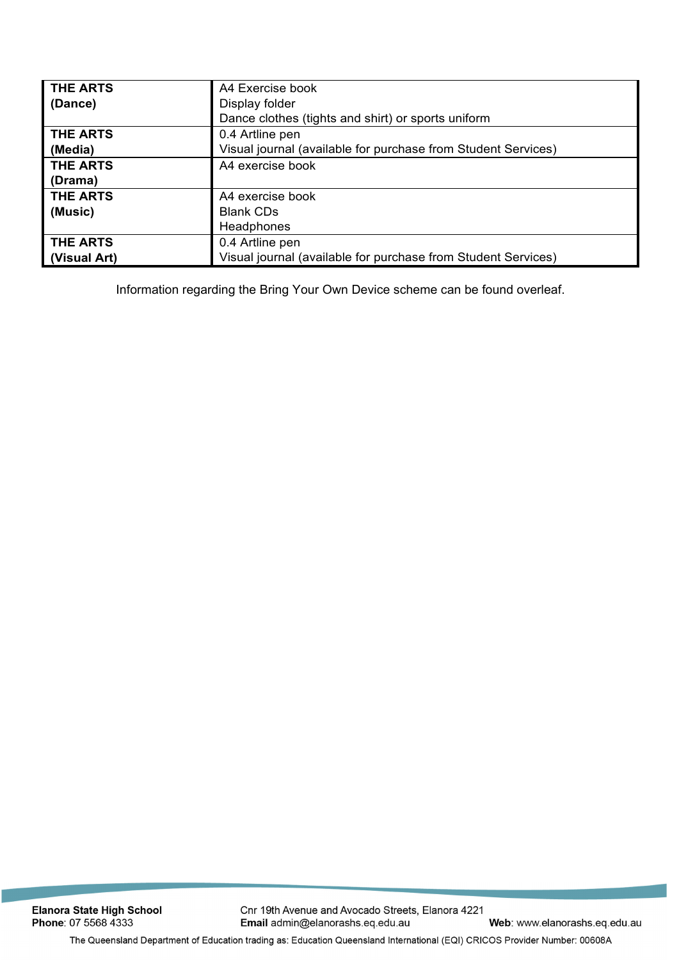| <b>THE ARTS</b> | A4 Exercise book                                              |  |
|-----------------|---------------------------------------------------------------|--|
| (Dance)         | Display folder                                                |  |
|                 | Dance clothes (tights and shirt) or sports uniform            |  |
| <b>THE ARTS</b> | 0.4 Artline pen                                               |  |
| (Media)         | Visual journal (available for purchase from Student Services) |  |
| <b>THE ARTS</b> | A4 exercise book                                              |  |
| (Drama)         |                                                               |  |
| <b>THE ARTS</b> | A4 exercise book                                              |  |
| (Music)         | <b>Blank CDs</b>                                              |  |
|                 | Headphones                                                    |  |
| <b>THE ARTS</b> | 0.4 Artline pen                                               |  |
| (Visual Art)    | Visual journal (available for purchase from Student Services) |  |

Information regarding the Bring Your Own Device scheme can be found overleaf.

The Queensland Department of Education trading as: Education Queensland International (EQI) CRICOS Provider Number: 00608A